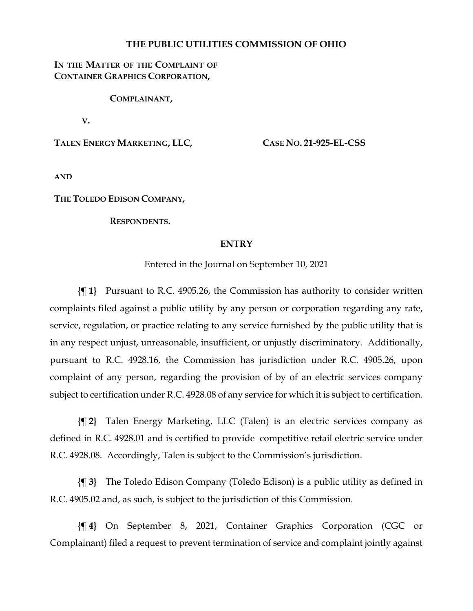### **THE PUBLIC UTILITIES COMMISSION OF OHIO**

## **IN THE MATTER OF THE COMPLAINT OF CONTAINER GRAPHICS CORPORATION,**

#### **COMPLAINANT,**

**V.**

**TALEN ENERGY MARKETING, LLC,**

**CASE NO. 21-925-EL-CSS**

**AND**

**THE TOLEDO EDISON COMPANY,**

**RESPONDENTS.**

#### **ENTRY**

Entered in the Journal on September 10, 2021

**{¶ 1}** Pursuant to R.C. 4905.26, the Commission has authority to consider written complaints filed against a public utility by any person or corporation regarding any rate, service, regulation, or practice relating to any service furnished by the public utility that is in any respect unjust, unreasonable, insufficient, or unjustly discriminatory. Additionally, pursuant to R.C. 4928.16, the Commission has jurisdiction under R.C. 4905.26, upon complaint of any person, regarding the provision of by of an electric services company subject to certification under R.C. 4928.08 of any service for which it is subject to certification.

**{¶ 2}** Talen Energy Marketing, LLC (Talen) is an electric services company as defined in R.C. 4928.01 and is certified to provide competitive retail electric service under R.C. 4928.08. Accordingly, Talen is subject to the Commission's jurisdiction.

**{¶ 3}** The Toledo Edison Company (Toledo Edison) is a public utility as defined in R.C. 4905.02 and, as such, is subject to the jurisdiction of this Commission.

**{¶ 4}** On September 8, 2021, Container Graphics Corporation (CGC or Complainant) filed a request to prevent termination of service and complaint jointly against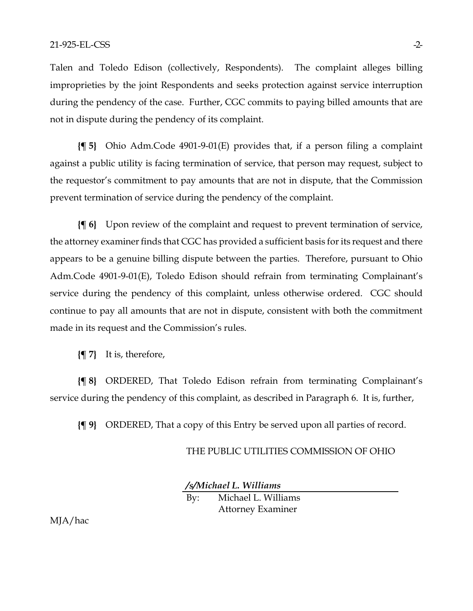Talen and Toledo Edison (collectively, Respondents). The complaint alleges billing improprieties by the joint Respondents and seeks protection against service interruption during the pendency of the case. Further, CGC commits to paying billed amounts that are not in dispute during the pendency of its complaint.

**{¶ 5}** Ohio Adm.Code 4901-9-01(E) provides that, if a person filing a complaint against a public utility is facing termination of service, that person may request, subject to the requestor's commitment to pay amounts that are not in dispute, that the Commission prevent termination of service during the pendency of the complaint.

**{¶ 6}** Upon review of the complaint and request to prevent termination of service, the attorney examiner finds that CGC has provided a sufficient basis for its request and there appears to be a genuine billing dispute between the parties. Therefore, pursuant to Ohio Adm.Code 4901-9-01(E), Toledo Edison should refrain from terminating Complainant's service during the pendency of this complaint, unless otherwise ordered. CGC should continue to pay all amounts that are not in dispute, consistent with both the commitment made in its request and the Commission's rules.

**{¶ 7}** It is, therefore,

**{¶ 8}** ORDERED, That Toledo Edison refrain from terminating Complainant's service during the pendency of this complaint, as described in Paragraph 6. It is, further,

**{¶ 9}** ORDERED, That a copy of this Entry be served upon all parties of record.

#### THE PUBLIC UTILITIES COMMISSION OF OHIO

*/s/Michael L. Williams*

By: Michael L. Williams Attorney Examiner

MJA/hac